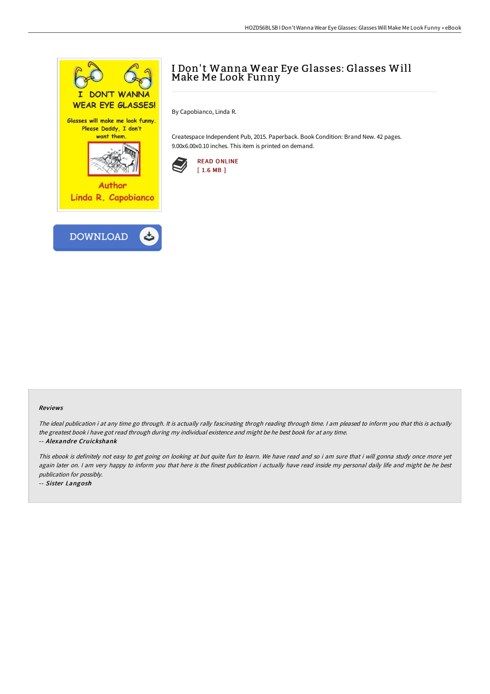

# I Don't Wanna Wear Eye Glasses: Glasses Will Make Me Look Funny

By Capobianco, Linda R.

Createspace Independent Pub, 2015. Paperback. Book Condition: Brand New. 42 pages. 9.00x6.00x0.10 inches. This item is printed on demand.



#### Reviews

The ideal publication i at any time go through. It is actually rally fascinating throgh reading through time. <sup>I</sup> am pleased to inform you that this is actually the greatest book i have got read through during my individual existence and might be he best book for at any time. -- Alexandre Cruickshank

This ebook is definitely not easy to get going on looking at but quite fun to learn. We have read and so i am sure that i will gonna study once more yet again later on. I am very happy to inform you that here is the finest publication i actually have read inside my personal daily life and might be he best publication for possibly.

-- Sister Langosh